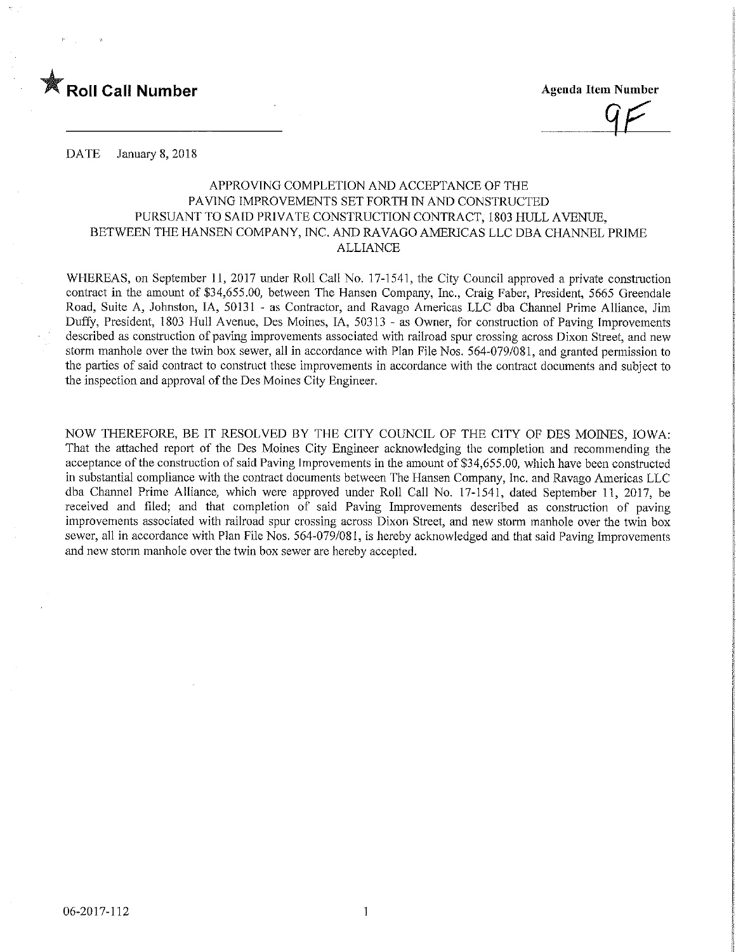

**Agenda Item Number** 

DATE January 8, 2018

# APPROVING COMPLETION AND ACCEPTANCE OF THE PAVING IMPROVEMENTS SET FORTH IN AND CONSTRUCTED PURSUANT TO SAID PRIVATE CONSTRUCTION CONTRACT, 1803 HULL AVENUE, BETWEEN THE HANSEN COMPANY, INC. AND RAVAGO AMERICAS LLC DBA CHANNEL PRIME ALLIANCE

WHEREAS, on September 11, 2017 under Roll Call No. 17-1541, the City Council approved a private construction contract in the amount of \$34,655.00, between The Hansen Company, Inc., Craig Faber, President, 5665 Greendale Road, Suite A, Johnston, IA, 50131 - as Contractor, and Ravage Americas LLC dba Channel Prime Alliance, Jim Duffy, President, 1803 Hull Avenue, Des Moines, IA, 50313 - as Owner, for construction of Paving Improvements described as construction of paving improvements associated with railroad spur crossing across Dixon Street, and new storm manhole over the twin box sewer, all in accordance with Plan File Nos. 564-079/081, and granted permission to the parties of said contract to construct these improvements m accordance with the contract documents and subject to the inspection and approval of the Des Moines City Engineer.

NOW THEREFORE, BE IT RESOLVED BY THE CITY COUNCIL OF THE CITY OF DES MOINES, IOWA: That the attached report of the Des Moines City Engineer acknowledging the completion and recommending the acceptance of the construction of said Paving Improvements in the amount of \$34,655.00, which have been constructed in substantial compliance with the contract documents between The Hansen Company, Inc. and Ravage Americas LLC dba Channel Prime Alliance, which were approved under Roll Call No. 17-1541, dated September 11, 2017, be received and filed; and that completion of said Paving Improvements described as construction of paving improvements associated with railroad spur crossing across Dixon Street, and new storm manhole over the twin box sewer, all in accordance with Plan File Nos. 564-079/081, is hereby acknowledged and that said Paving Improvements and new storm manhole over the twin box sewer are hereby accepted.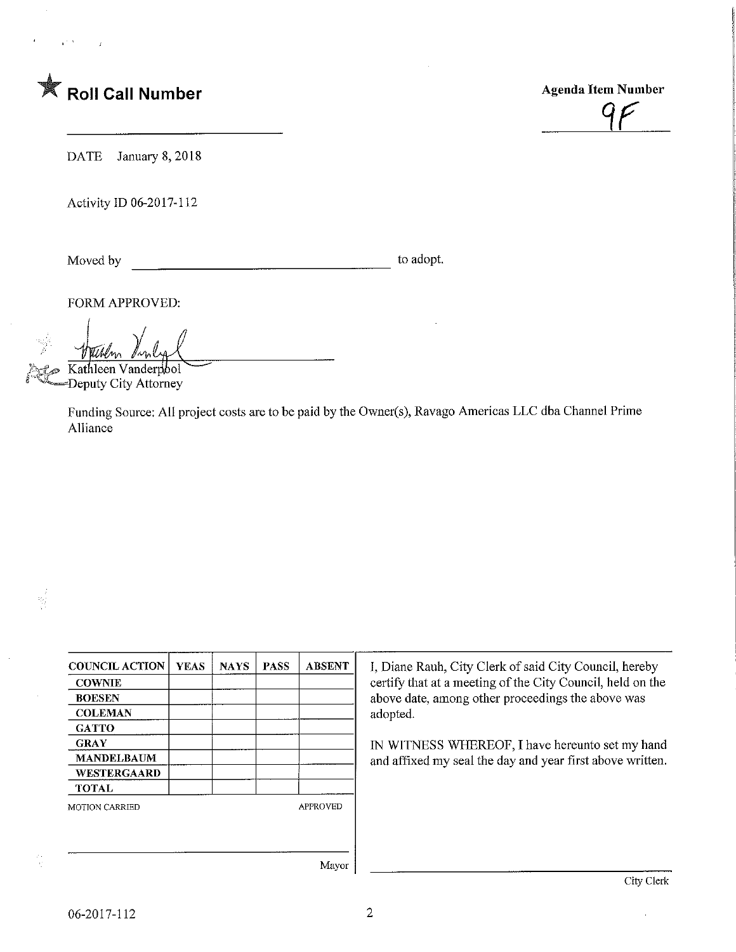

 $95$ 

DATE January 8, 2018

Activity ID 06-2017-112

Moved by to adopt.

뛏

FORM APPROVED:

Kathleen Vanderpool

Deputy City Attorney

Funding Source; All project costs are to be paid by the Owner(s), Ravago Americas LLC dba Channel Prime Alliance

| <b>COUNCIL ACTION</b> | <b>YEAS</b> | <b>NAYS</b> | <b>PASS</b>     | <b>ABSENT</b>          |
|-----------------------|-------------|-------------|-----------------|------------------------|
| <b>COWNIE</b>         |             |             |                 |                        |
| <b>BOESEN</b>         |             |             |                 |                        |
| <b>COLEMAN</b>        |             |             |                 |                        |
| <b>GATTO</b>          |             |             |                 |                        |
| <b>GRAY</b>           |             |             |                 |                        |
| <b>MANDELBAUM</b>     |             |             |                 |                        |
| WESTERGAARD           |             |             |                 |                        |
| <b>TOTAL</b>          |             |             |                 |                        |
| <b>MOTION CARRIED</b> |             |             | <b>APPROVED</b> |                        |
|                       |             |             |                 |                        |
|                       |             |             |                 |                        |
|                       |             |             |                 | $\mathbf{X}$ final set |

I, Diane Rauh, City Clerk of said City Council, hereby certify that at a meeting of the City Council, held on the above date, among other proceedings the above was adopted.

IN WITNESS WHEREOF, I have hereunto set my hand and affixed my seal the day and year first above written.

Mayor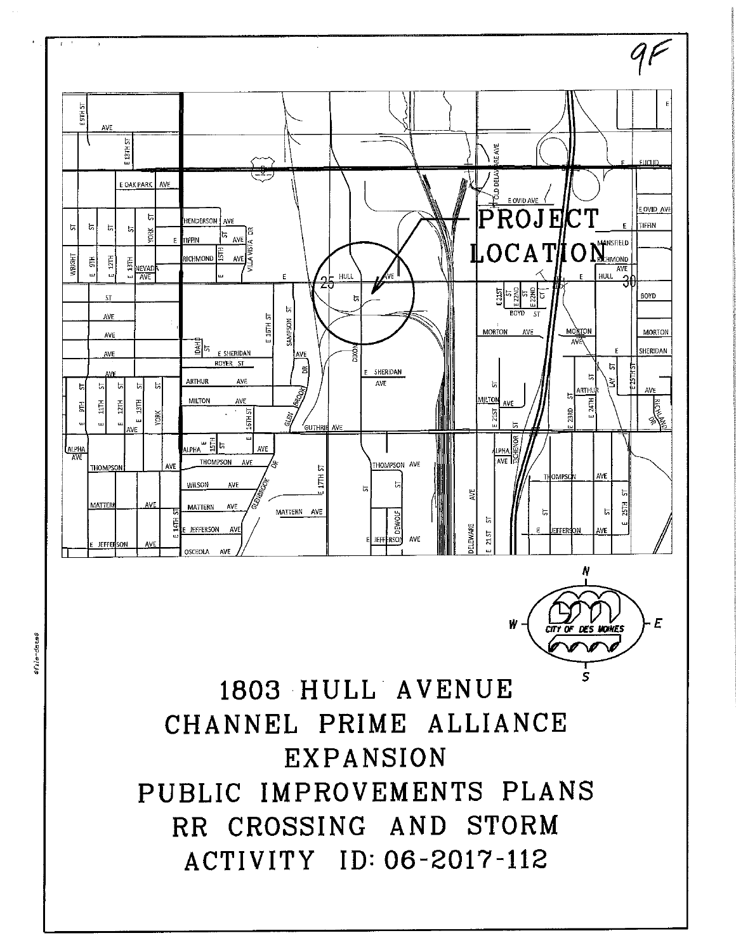

EXPANSION PUBLIC IMPROVEMENTS PLANS RR CROSSING AND STORM ACTIVITY ID: 06-2017-112

stile-dates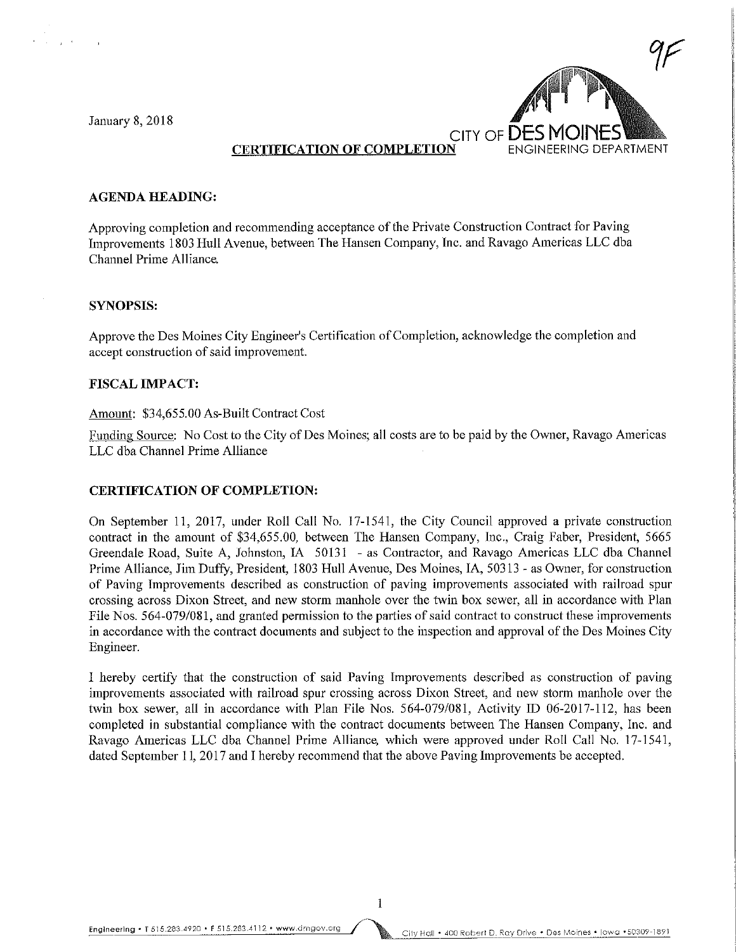**January 8, 2018** 



## CERTIFICATION OF COMPLETION

#### AGENDA HEADING:

Approving completion and recommending acceptance of the Private Construction Contract for Paving Improvements 1803 Hull Avenue, between The Hansen Company, Inc. and Ravago Americas LLC dba Channel Prime Alliance.

#### SYNOPSIS:

Approve the Des Moines City Engineer's Certification of Completion, acknowledge the completion and accept construction of said improvement.

## FISCAL IMPACT:

#### Amount: \$34,655.00 As-Built Contract Cost

Funding Source: No Cost to the City of Des Moines; all costs are to be paid by the Owner, Ravago Americas LLC dba Channel Prime Alliance

### CERTIFICATION OF COMPLETION:

On September 11, 2017, under Roll Call No. 17-1541, the City Council approved a private construction contract in the amount of \$34,655,00, between The Hansen Company, Inc., Craig Faber, President, 5665 Greendale Road, Suite A, Johnston, IA 50131 - as Contractor, and Ravage Americas LLC dba Channel Prime Alliance, Jim Duffy, President, 1803 Hull Avenue, Des Moines, IA, 50313 - as Owner, for construction of Paving Improvements described as construction of paving improvements associated with railroad spur crossing across Dixon Street, and new storm manhole over the twin box sewer, all in accordance with Plan File Nos. 564-079/081, and granted permission to the parties of said contract to construct these improvements in accordance with the contract documents and subject to the inspection and approval of the Des Moines City Engineer.

I hereby certify that the construction of said Paving Improvements described as construction of paving improvements associated with railroad spur crossing across Dixon Street, and new storm manhole over the twin box sewer, all in accordance with Plan File Nos. 564-079/081, Activity JD 06-2017-112, has been completed in substantial compliance with the contract documents between The Hansen Company, Inc. and Ravage Americas LLC dba Channel Prime Alliance, which were approved under Roll Call No. 17-1541, dated September 11, 2017 and I hereby recommend that the above Paving Improvements be accepted.

Engineering • T 515.283.4920 • F 515.283,4112 • www.dmgov.org / ... . . . . . . City Hall • 400 Robert D. Ray Drive • Des Moines • lowa • 50309-1891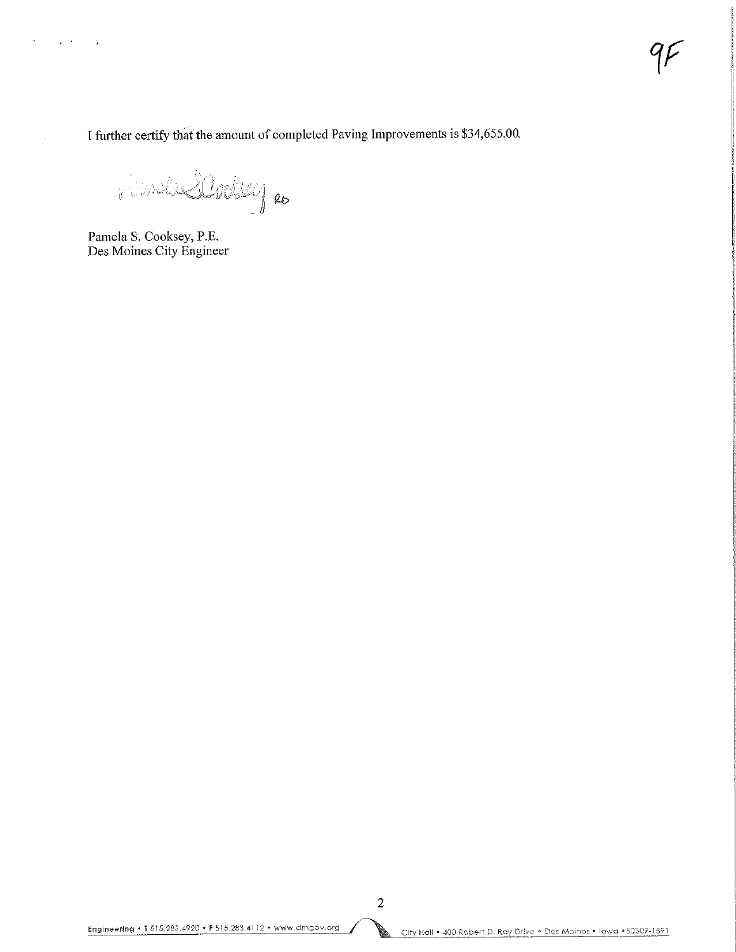I further certify that the amount of completed Paving Improvements is \$34,655.00.

 $\mathcal{L}^*$  is factually to

Pamela S. Cooksey, P.E. Des Moines City Engineer

ų,

 $\mathcal{L}^{\text{max}}(\mathcal{L}^{\text{max}})$  . The  $\mathcal{L}^{\text{max}}$